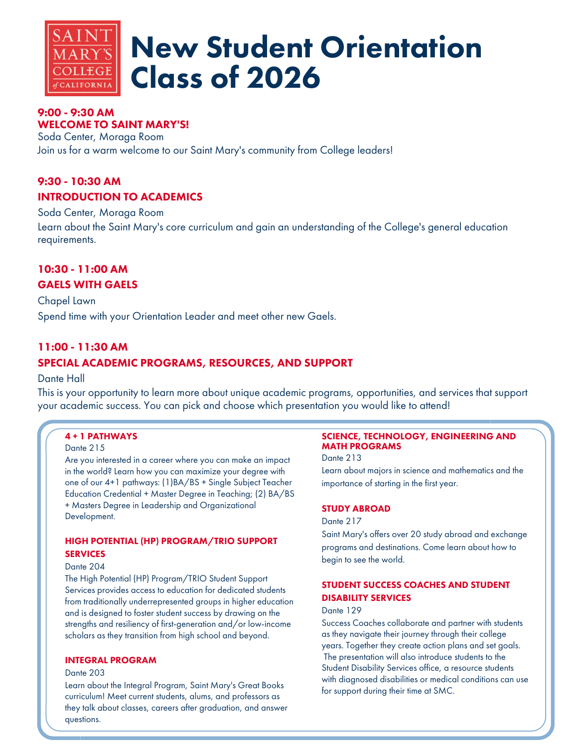

# New Student Orientation Class of 2026

## 9:00 - 9:30 AM WELCOME TO SAINT MARY'S!

Soda Center, Moraga Room Join us for a warm welcome to our Saint Mary's community from College leaders!

## 9:30 - 10:30 AM INTRODUCTION TO ACADEMICS

Soda Center, Moraga Room

Learn about the Saint Mary's core curriculum and gain an understanding of the College's general education requirements.

# 10:30 - 11:00 AM GAELS WITH GAELS

Chapel Lawn Spend time with your Orientation Leader and meet other new Gaels.

## 11:00 - 11:30 AM

## SPECIAL ACADEMIC PROGRAMS, RESOURCES, AND SUPPORT

## Dante Hall

This is your opportunity to learn more about unique academic programs, opportunities, and services that support your academic success. You can pick and choose which presentation you would like to attend!

## 4 + 1 PATHWAYS

#### Dante 215

Are you interested in a career where you can make an impact in the world? Learn how you can maximize your degree with one of our 4+1 pathways: (1)BA/BS + Single Subject Teacher Education Credential + Master Degree in Teaching; (2) BA/BS + Masters Degree in Leadership and Organizational Development.

#### HIGH POTENTIAL (HP) PROGRAM/TRIO SUPPORT **SERVICES**

#### Dante 204

The High Potential (HP) Program/TRIO Student Support Services provides access to education for dedicated students from traditionally underrepresented groups in higher education and is designed to foster student success by drawing on the strengths and resiliency of first-generation and/or low-income scholars as they transition from high school and beyond.

## INTEGRAL PROGRAM

#### Dante 203

Learn about the Integral Program, Saint Mary's Great Books curriculum! Meet current students, alums, and professors as they talk about classes, careers after graduation, and answer questions.

#### SCIENCE, TECHNOLOGY, ENGINEERING AND MATH PROGRAMS

Dante 213 Learn about majors in science and mathematics and the importance of starting in the first year.

#### STUDY ABROAD

#### Dante 217

Saint Mary's offers over 20 study abroad and exchange programs and destinations. Come learn about how to begin to see the world.

## STUDENT SUCCESS COACHES AND STUDENT DISABILITY SERVICES

#### Dante 129

Success Coaches collaborate and partner with students as they navigate their journey through their college years. Together they create action plans and set goals. The presentation will also introduce students to the Student Disability Services office, a resource students with diagnosed disabilities or medical conditions can use for support during their time at SMC.